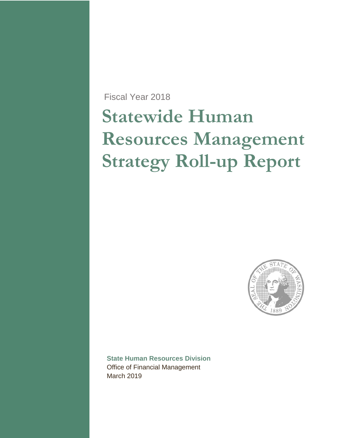Fiscal Year 2018

# **Statewide Human Resources Management Strategy Roll-up Report**



**State Human Resources Division** Office of Financial Management March 2019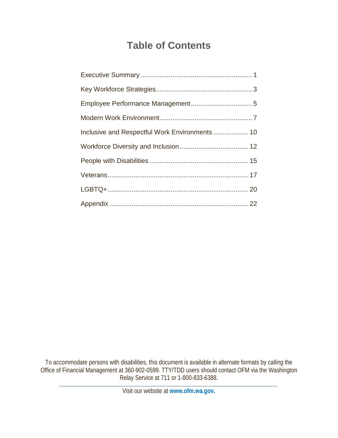# **Table of Contents**

| Inclusive and Respectful Work Environments  10 |  |
|------------------------------------------------|--|
|                                                |  |
|                                                |  |
|                                                |  |
|                                                |  |
|                                                |  |

To accommodate persons with disabilities, this document is available in alternate formats by calling the Office of Financial Management at 360-902-0599. TTY/TDD users should contact OFM via the Washington Relay Service at 711 or 1-800-833-6388.

Visit our website at **www.ofm.wa.gov.**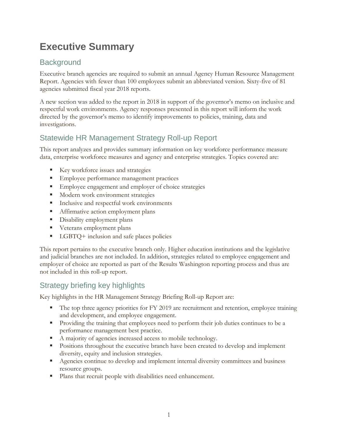# <span id="page-2-0"></span>**Executive Summary**

### **Background**

Executive branch agencies are required to submit an annual Agency Human Resource Management Report. Agencies with fewer than 100 employees submit an abbreviated version. Sixty-five of 81 agencies submitted fiscal year 2018 reports.

A new section was added to the report in 2018 in support of the governor's memo on inclusive and respectful work environments. Agency responses presented in this report will inform the work directed by the governor's memo to identify improvements to policies, training, data and investigations.

### Statewide HR Management Strategy Roll-up Report

This report analyzes and provides summary information on key workforce performance measure data, enterprise workforce measures and agency and enterprise strategies. Topics covered are:

- Key workforce issues and strategies
- **Employee performance management practices**
- **Employee engagement and employer of choice strategies**
- **Modern work environment strategies**
- **Inclusive and respectful work environments**
- **Affirmative action employment plans**
- **Disability employment plans**
- **Veterans employment plans**
- LGBTQ+ inclusion and safe places policies

This report pertains to the executive branch only. Higher education institutions and the legislative and judicial branches are not included. In addition, strategies related to employee engagement and employer of choice are reported as part of the Results Washington reporting process and thus are not included in this roll-up report.

### Strategy briefing key highlights

Key highlights in the HR Management Strategy Briefing Roll-up Report are:

- The top three agency priorities for FY 2019 are recruitment and retention, employee training and development, and employee engagement.
- **Providing the training that employees need to perform their job duties continues to be a** performance management best practice.
- A majority of agencies increased access to mobile technology.
- **Positions throughout the executive branch have been created to develop and implement** diversity, equity and inclusion strategies.
- **Agencies continue to develop and implement internal diversity committees and business** resource groups.
- **Plans that recruit people with disabilities need enhancement.**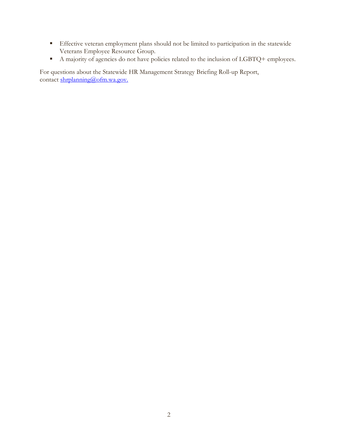- Effective veteran employment plans should not be limited to participation in the statewide Veterans Employee Resource Group.
- A majority of agencies do not have policies related to the inclusion of LGBTQ+ employees.

For questions about the Statewide HR Management Strategy Briefing Roll-up Report, contact shrplanning@ofm.wa.gov.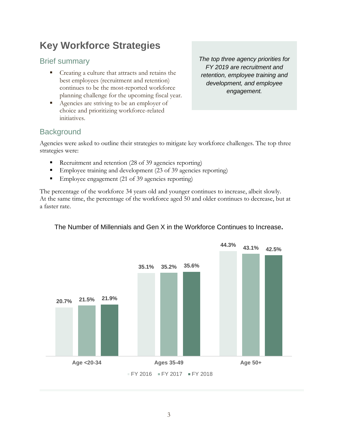# <span id="page-4-0"></span>**Key Workforce Strategies**

### Brief summary

- Creating a culture that attracts and retains the best employees (recruitment and retention) continues to be the most-reported workforce planning challenge for the upcoming fiscal year.
- Agencies are striving to be an employer of choice and prioritizing workforce-related initiatives.

*The top three agency priorities for FY 2019 are recruitment and retention, employee training and development, and employee engagement.*

### **Background**

Agencies were asked to outline their strategies to mitigate key workforce challenges. The top three strategies were:

- Recruitment and retention (28 of 39 agencies reporting)
- Employee training and development (23 of 39 agencies reporting)
- Employee engagement (21 of 39 agencies reporting)

The percentage of the workforce 34 years old and younger continues to increase, albeit slowly. At the same time, the percentage of the workforce aged 50 and older continues to decrease, but at a faster rate.

#### The Number of Millennials and Gen X in the Workforce Continues to Increase**.**

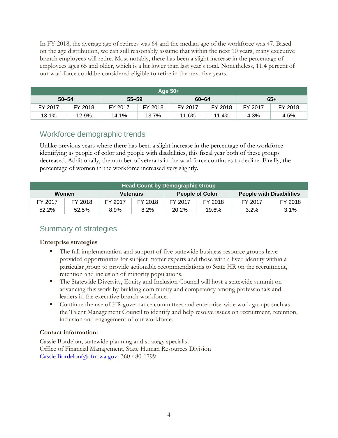In FY 2018, the average age of retirees was 64 and the median age of the workforce was 47. Based on the age distribution, we can still reasonably assume that within the next 10 years, many executive branch employees will retire. Most notably, there has been a slight increase in the percentage of employees ages 65 and older, which is a bit lower than last year's total. Nonetheless, 11.4 percent of our workforce could be considered eligible to retire in the next five years.

| Aqe 50+' |           |         |           |         |           |         |         |
|----------|-----------|---------|-----------|---------|-----------|---------|---------|
|          | $50 - 54$ |         | $55 - 59$ |         | $60 - 64$ |         | $65+$   |
| FY 2017  | FY 2018   | FY 2017 | FY 2018   | FY 2017 | FY 2018   | FY 2017 | FY 2018 |
| 13.1%    | 12.9%     | 14.1%   | 13.7%     | 11.6%   | 11.4%     | 4.3%    | 4.5%    |

### Workforce demographic trends

Unlike previous years where there has been a slight increase in the percentage of the workforce identifying as people of color and people with disabilities, this fiscal year both of these groups decreased. Additionally, the number of veterans in the workforce continues to decline. Finally, the percentage of women in the workforce increased very slightly.

| Head Count by Demographic Group |         |         |                 |         |                        |         |                                 |
|---------------------------------|---------|---------|-----------------|---------|------------------------|---------|---------------------------------|
| Women                           |         |         | <b>Veterans</b> |         | <b>People of Color</b> |         | <b>People with Disabilities</b> |
| FY 2017                         | FY 2018 | FY 2017 | FY 2018         | FY 2017 | FY 2018                | FY 2017 | FY 2018                         |
| 52.2%                           | 52.5%   | 8.9%    | 8.2%            | 20.2%   | 19.6%                  | 3.2%    | $3.1\%$                         |

### Summary of strategies

#### **Enterprise strategies**

- The full implementation and support of five statewide business resource groups have provided opportunities for subject matter experts and those with a lived identity within a particular group to provide actionable recommendations to State HR on the recruitment, retention and inclusion of minority populations.
- **The Statewide Diversity, Equity and Inclusion Council will host a statewide summit on** advancing this work by building community and competency among professionals and leaders in the executive branch workforce.
- Continue the use of HR governance committees and enterprise-wide work groups such as the Talent Management Council to identify and help resolve issues on recruitment, retention, inclusion and engagement of our workforce.

#### **Contact information:**

Cassie Bordelon, statewide planning and strategy specialist Office of Financial Management, State Human Resources Division [Cassie.Bordelon@ofm.wa.gov|](mailto:cassie.bordelon@ofm.wa.gov)360-480-1799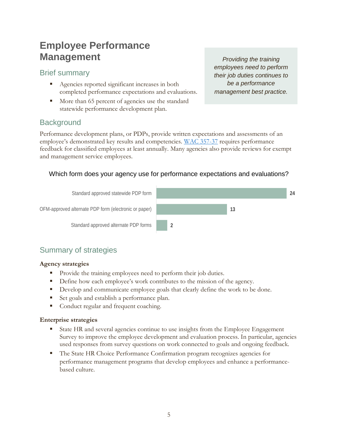# <span id="page-6-0"></span>**Employee Performance Management**

### Brief summary

- Agencies reported significant increases in both completed performance expectations and evaluations.
- More than 65 percent of agencies use the standard statewide performance development plan.

*Providing the training employees need to perform their job duties continues to be a performance management best practice.*

### **Background**

Performance development plans, or PDPs, provide written expectations and assessments of an employee's demonstrated key results and competencies. [WAC 357-37](https://apps.leg.wa.gov/wac/default.aspx?cite=357-37) requires performance feedback for classified employees at least annually. Many agencies also provide reviews for exempt and management service employees.

#### Which form does your agency use for performance expectations and evaluations?



### Summary of strategies

#### **Agency strategies**

- Provide the training employees need to perform their job duties.
- Define how each employee's work contributes to the mission of the agency.
- Develop and communicate employee goals that clearly define the work to be done.
- Set goals and establish a performance plan.
- Conduct regular and frequent coaching.

#### **Enterprise strategies**

- State HR and several agencies continue to use insights from the Employee Engagement Survey to improve the employee development and evaluation process. In particular, agencies used responses from survey questions on work connected to goals and ongoing feedback.
- The State HR Choice Performance Confirmation program recognizes agencies for performance management programs that develop employees and enhance a performancebased culture.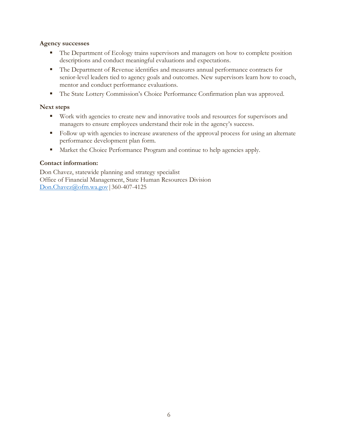#### **Agency successes**

- The Department of Ecology trains supervisors and managers on how to complete position descriptions and conduct meaningful evaluations and expectations.
- The Department of Revenue identifies and measures annual performance contracts for senior-level leaders tied to agency goals and outcomes. New supervisors learn how to coach, mentor and conduct performance evaluations.
- The State Lottery Commission's Choice Performance Confirmation plan was approved.

#### **Next steps**

- Work with agencies to create new and innovative tools and resources for supervisors and managers to ensure employees understand their role in the agency's success.
- Follow up with agencies to increase awareness of the approval process for using an alternate performance development plan form.
- Market the Choice Performance Program and continue to help agencies apply.

#### **Contact information:**

Don Chavez, statewide planning and strategy specialist Office of Financial Management, State Human Resources Division [Don.Chavez@ofm.wa.gov|](mailto:Don.Chavez@ofm.wa.gov)360-407-4125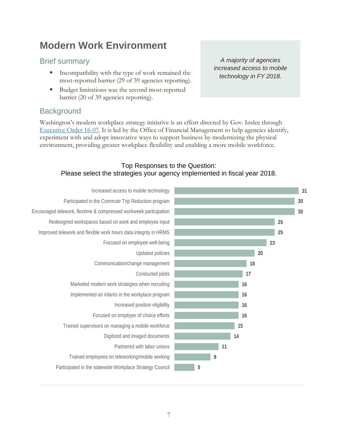# <span id="page-8-0"></span>**Modern Work Environment**

### Brief summary

- Incompatibility with the type of work remained the most-reported barrier (29 of 39 agencies reporting).
- Budget limitations was the second most-reported barrier (20 of 39 agencies reporting).

### **Background**

Washington's modern workplace strategy initiative is an effort directed by Gov. Inslee through [Executive Order 16-07.](https://www.governor.wa.gov/sites/default/files/exe_order/eo_16-07.pdf) It is led by the Office of Financial Management to help agencies identify, experiment with and adopt innovative ways to support business by modernizing the physical environment, providing greater workplace flexibility and enabling a more mobile workforce.

#### Top Responses to the Question: Please select the strategies your agency implemented in fiscal year 2018.



*A majority of agencies increased access to mobile technology in FY 2018.*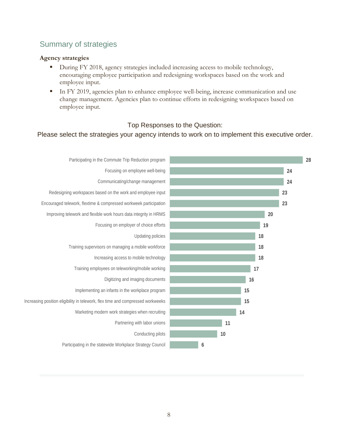### Summary of strategies

#### **Agency strategies**

- During FY 2018, agency strategies included increasing access to mobile technology, encouraging employee participation and redesigning workspaces based on the work and employee input.
- In FY 2019, agencies plan to enhance employee well-being, increase communication and use change management. Agencies plan to continue efforts in redesigning workspaces based on employee input.

#### Top Responses to the Question:

#### Please select the strategies your agency intends to work on to implement this executive order.

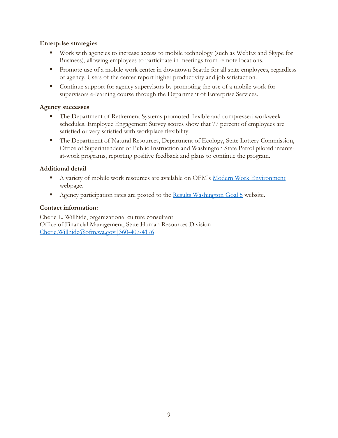#### **Enterprise strategies**

- Work with agencies to increase access to mobile technology (such as WebEx and Skype for Business), allowing employees to participate in meetings from remote locations.
- **Promote use of a mobile work center in downtown Seattle for all state employees, regardless** of agency. Users of the center report higher productivity and job satisfaction.
- Continue support for agency supervisors by promoting the use of a mobile work for supervisors e-learning course through the Department of Enterprise Services.

#### **Agency successes**

- The Department of Retirement Systems promoted flexible and compressed workweek schedules. Employee Engagement Survey scores show that 77 percent of employees are satisfied or very satisfied with workplace flexibility.
- The Department of Natural Resources, Department of Ecology, State Lottery Commission, Office of Superintendent of Public Instruction and Washington State Patrol piloted infantsat-work programs, reporting positive feedback and plans to continue the program.

#### **Additional detail**

- A variety of mobile work resources are available on OFM's [Modern Work Environment](https://ofm.wa.gov/facilities/building-modern-work-environment) webpage.
- Agency participation rates are posted to the [Results Washington Goal 5](http://results.wa.gov/what-we-do/measure-results/efficient-effective-accountable-government/goal-map) website.

#### **Contact information:**

Cherie L. Willhide, organizational culture consultant Office of Financial Management, State Human Resources Division [Cherie.Willhide@ofm.wa.gov|360-407-4176](mailto:Cherie.Willhide@ofm.wa.gov%7C360-407-4176)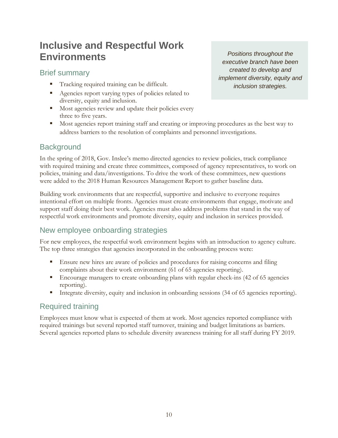# <span id="page-11-0"></span>**Inclusive and Respectful Work Environments**

Brief summary

- Tracking required training can be difficult.
- Agencies report varying types of policies related to diversity, equity and inclusion.
- **Most agencies review and update their policies every** three to five years.
- Most agencies report training staff and creating or improving procedures as the best way to address barriers to the resolution of complaints and personnel investigations.

### **Background**

In the spring of 2018, Gov. Inslee's memo directed agencies to review policies, track compliance with required training and create three committees, composed of agency representatives, to work on policies, training and data/investigations. To drive the work of these committees, new questions were added to the 2018 Human Resources Management Report to gather baseline data.

Building work environments that are respectful, supportive and inclusive to everyone requires intentional effort on multiple fronts. Agencies must create environments that engage, motivate and support staff doing their best work. Agencies must also address problems that stand in the way of respectful work environments and promote diversity, equity and inclusion in services provided.

### New employee onboarding strategies

For new employees, the respectful work environment begins with an introduction to agency culture. The top three strategies that agencies incorporated in the onboarding process were:

- Ensure new hires are aware of policies and procedures for raising concerns and filing complaints about their work environment (61 of 65 agencies reporting).
- **Encourage managers to create onboarding plans with regular check-ins (42 of 65 agencies** reporting).
- Integrate diversity, equity and inclusion in onboarding sessions (34 of 65 agencies reporting).

### Required training

Employees must know what is expected of them at work. Most agencies reported compliance with required trainings but several reported staff turnover, training and budget limitations as barriers. Several agencies reported plans to schedule diversity awareness training for all staff during FY 2019.

*Positions throughout the executive branch have been created to develop and implement diversity, equity and inclusion strategies.*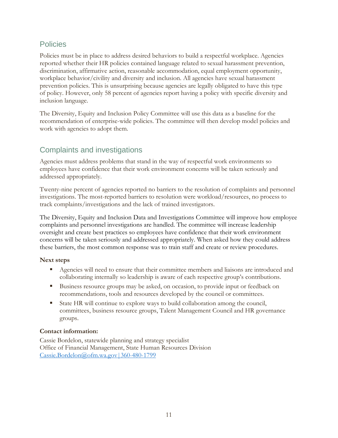### Policies

Policies must be in place to address desired behaviors to build a respectful workplace. Agencies reported whether their HR policies contained language related to sexual harassment prevention, discrimination, affirmative action, reasonable accommodation, equal employment opportunity, workplace behavior/civility and diversity and inclusion. All agencies have sexual harassment prevention policies. This is unsurprising because agencies are legally obligated to have this type of policy. However, only 58 percent of agencies report having a policy with specific diversity and inclusion language.

The Diversity, Equity and Inclusion Policy Committee will use this data as a baseline for the recommendation of enterprise-wide policies. The committee will then develop model policies and work with agencies to adopt them.

### Complaints and investigations

Agencies must address problems that stand in the way of respectful work environments so employees have confidence that their work environment concerns will be taken seriously and addressed appropriately.

Twenty-nine percent of agencies reported no barriers to the resolution of complaints and personnel investigations. The most-reported barriers to resolution were workload/resources, no process to track complaints/investigations and the lack of trained investigators.

The Diversity, Equity and Inclusion Data and Investigations Committee will improve how employee complaints and personnel investigations are handled. The committee will increase leadership oversight and create best practices so employees have confidence that their work environment concerns will be taken seriously and addressed appropriately. When asked how they could address these barriers, the most common response was to train staff and create or review procedures.

#### **Next steps**

- **Agencies will need to ensure that their committee members and liaisons are introduced and** collaborating internally so leadership is aware of each respective group's contributions.
- Business resource groups may be asked, on occasion, to provide input or feedback on recommendations, tools and resources developed by the council or committees.
- State HR will continue to explore ways to build collaboration among the council, committees, business resource groups, Talent Management Council and HR governance groups.

#### **Contact information:**

Cassie Bordelon, statewide planning and strategy specialist Office of Financial Management, State Human Resources Division [Cassie.Bordelon@ofm.wa.gov|360-480-1799](mailto:Cassie.Bordelon@ofm.wa.gov%7C360-480-1799)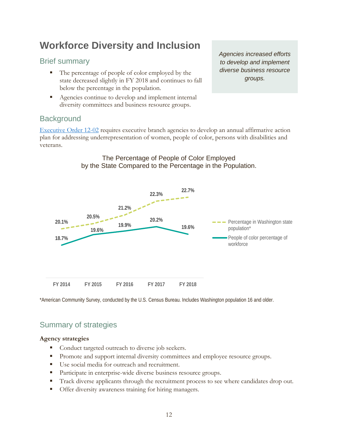# <span id="page-13-0"></span>**Workforce Diversity and Inclusion**

### Brief summary

- The percentage of people of color employed by the state decreased slightly in FY 2018 and continues to fall below the percentage in the population.
- Agencies continue to develop and implement internal diversity committees and business resource groups.

*Agencies increased efforts to develop and implement diverse business resource groups.*

### **Background**

[Executive Order 12-02](https://www.governor.wa.gov/sites/default/files/exe_order/eo_12-02.pdf) requires executive branch agencies to develop an annual affirmative action plan for addressing underrepresentation of women, people of color, persons with disabilities and veterans.



The Percentage of People of Color Employed by the State Compared to the Percentage in the Population.

\*American Community Survey, conducted by the U.S. Census Bureau. Includes Washington population 16 and older.

### Summary of strategies

#### **Agency strategies**

- Conduct targeted outreach to diverse job seekers.
- Promote and support internal diversity committees and employee resource groups.
- Use social media for outreach and recruitment.
- **Participate in enterprise-wide diverse business resource groups.**
- Track diverse applicants through the recruitment process to see where candidates drop out.
- **Offer diversity awareness training for hiring managers.**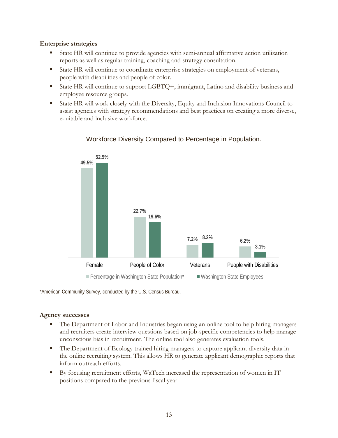#### **Enterprise strategies**

- State HR will continue to provide agencies with semi-annual affirmative action utilization reports as well as regular training, coaching and strategy consultation.
- State HR will continue to coordinate enterprise strategies on employment of veterans, people with disabilities and people of color.
- State HR will continue to support LGBTQ+, immigrant, Latino and disability business and employee resource groups.
- State HR will work closely with the Diversity, Equity and Inclusion Innovations Council to assist agencies with strategy recommendations and best practices on creating a more diverse, equitable and inclusive workforce.



### Workforce Diversity Compared to Percentage in Population.

\*American Community Survey, conducted by the U.S. Census Bureau.

#### **Agency successes**

- The Department of Labor and Industries began using an online tool to help hiring managers and recruiters create interview questions based on job-specific competencies to help manage unconscious bias in recruitment. The online tool also generates evaluation tools.
- **The Department of Ecology trained hiring managers to capture applicant diversity data in** the online recruiting system. This allows HR to generate applicant demographic reports that inform outreach efforts.
- By focusing recruitment efforts, WaTech increased the representation of women in IT positions compared to the previous fiscal year.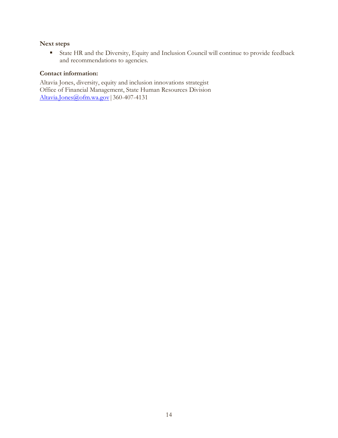#### **Next steps**

 State HR and the Diversity, Equity and Inclusion Council will continue to provide feedback and recommendations to agencies.

#### **Contact information:**

Altavia Jones, diversity, equity and inclusion innovations strategist Office of Financial Management, State Human Resources Division Altavia.Jones@ofm.wa.gov 360-407-4131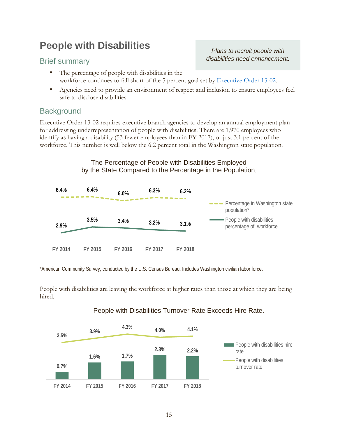# <span id="page-16-0"></span>**People with Disabilities**

#### Brief summary

*Plans to recruit people with disabilities need enhancement.*

- The percentage of people with disabilities in the workforce continues to fall short of the 5 percent goal set by [Executive Order 13-02.](https://www.governor.wa.gov/sites/default/files/exe_order/eo_13-02.pdf)
- Agencies need to provide an environment of respect and inclusion to ensure employees feel safe to disclose disabilities.

### **Background**

Executive Order 13-02 requires executive branch agencies to develop an annual employment plan for addressing underrepresentation of people with disabilities. There are 1,970 employees who identify as having a disability (53 fewer employees than in FY 2017), or just 3.1 percent of the workforce. This number is well below the 6.2 percent total in the Washington state population.

#### The Percentage of People with Disabilities Employed by the State Compared to the Percentage in the Population.



\*American Community Survey, conducted by the U.S. Census Bureau. Includes Washington civilian labor force.

People with disabilities are leaving the workforce at higher rates than those at which they are being hired.



### People with Disabilities Turnover Rate Exceeds Hire Rate.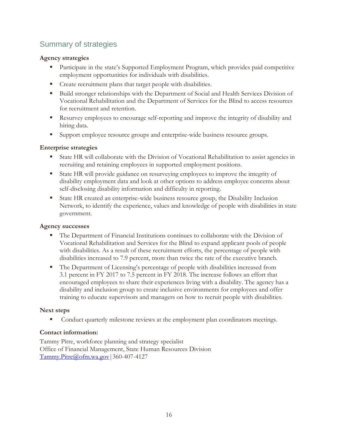### Summary of strategies

#### **Agency strategies**

- **Participate in the state's Supported Employment Program, which provides paid competitive** employment opportunities for individuals with disabilities.
- **Create recruitment plans that target people with disabilities.**
- Build stronger relationships with the Department of Social and Health Services Division of Vocational Rehabilitation and the Department of Services for the Blind to access resources for recruitment and retention.
- Resurvey employees to encourage self-reporting and improve the integrity of disability and hiring data.
- Support employee resource groups and enterprise-wide business resource groups.

#### **Enterprise strategies**

- State HR will collaborate with the Division of Vocational Rehabilitation to assist agencies in recruiting and retaining employees in supported employment positions.
- State HR will provide guidance on resurveying employees to improve the integrity of disability employment data and look at other options to address employee concerns about self-disclosing disability information and difficulty in reporting.
- State HR created an enterprise-wide business resource group, the Disability Inclusion Network, to identify the experience, values and knowledge of people with disabilities in state government.

#### **Agency successes**

- The Department of Financial Institutions continues to collaborate with the Division of Vocational Rehabilitation and Services for the Blind to expand applicant pools of people with disabilities. As a result of these recruitment efforts, the percentage of people with disabilities increased to 7.9 percent, more than twice the rate of the executive branch.
- The Department of Licensing's percentage of people with disabilities increased from 3.1 percent in FY 2017 to 7.5 percent in FY 2018. The increase follows an effort that encouraged employees to share their experiences living with a disability. The agency has a disability and inclusion group to create inclusive environments for employees and offer training to educate supervisors and managers on how to recruit people with disabilities.

#### **Next steps**

Conduct quarterly milestone reviews at the employment plan coordinators meetings.

#### **Contact information:**

Tammy Pitre, workforce planning and strategy specialist Office of Financial Management, State Human Resources Division [Tammy.Pitre@ofm.wa.gov|](mailto:Tammy.Pitre@ofm.wa.gov)360-407-4127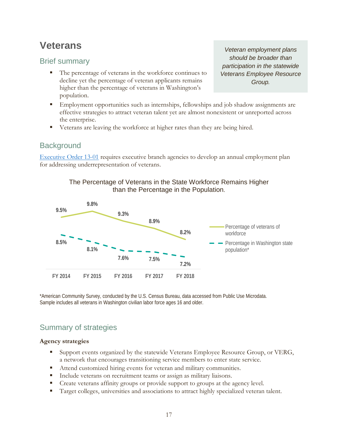## <span id="page-18-0"></span>**Veterans**

### Brief summary

- The percentage of veterans in the workforce continues to decline yet the percentage of veteran applicants remains higher than the percentage of veterans in Washington's population.
- **Employment opportunities such as internships, fellowships and job shadow assignments are** effective strategies to attract veteran talent yet are almost nonexistent or unreported across the enterprise.
- Veterans are leaving the workforce at higher rates than they are being hired.

### **Background**

[Executive Order 13-01](https://www.governor.wa.gov/sites/default/files/exe_order/eo_13-01.pdf) requires executive branch agencies to develop an annual employment plan for addressing underrepresentation of veterans.





\*American Community Survey, conducted by the U.S. Census Bureau, data accessed from Public Use Microdata. Sample includes all veterans in Washington civilian labor force ages 16 and older.

### Summary of strategies

#### **Agency strategies**

- Support events organized by the statewide Veterans Employee Resource Group, or VERG, a network that encourages transitioning service members to enter state service.
- Attend customized hiring events for veteran and military communities.
- Include veterans on recruitment teams or assign as military liaisons.
- Create veterans affinity groups or provide support to groups at the agency level.
- **Target colleges, universities and associations to attract highly specialized veteran talent.**

*Veteran employment plans should be broader than participation in the statewide Veterans Employee Resource Group.*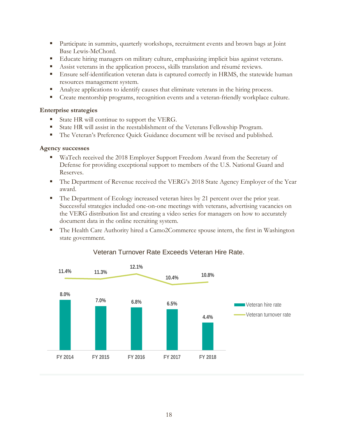- Participate in summits, quarterly workshops, recruitment events and brown bags at Joint Base Lewis-McChord.
- Educate hiring managers on military culture, emphasizing implicit bias against veterans.
- Assist veterans in the application process, skills translation and résumé reviews.
- Ensure self-identification veteran data is captured correctly in HRMS, the statewide human resources management system.
- Analyze applications to identify causes that eliminate veterans in the hiring process.
- Create mentorship programs, recognition events and a veteran-friendly workplace culture.

#### **Enterprise strategies**

- State HR will continue to support the VERG.
- State HR will assist in the reestablishment of the Veterans Fellowship Program.
- The Veteran's Preference Quick Guidance document will be revised and published.

#### **Agency successes**

- WaTech received the 2018 Employer Support Freedom Award from the Secretary of Defense for providing exceptional support to members of the U.S. National Guard and Reserves.
- **The Department of Revenue received the VERG's 2018 State Agency Employer of the Year** award.
- The Department of Ecology increased veteran hires by 21 percent over the prior year. Successful strategies included one-on-one meetings with veterans, advertising vacancies on the VERG distribution list and creating a video series for managers on how to accurately document data in the online recruiting system.
- The Health Care Authority hired a Camo2Commerce spouse intern, the first in Washington state government.



#### Veteran Turnover Rate Exceeds Veteran Hire Rate.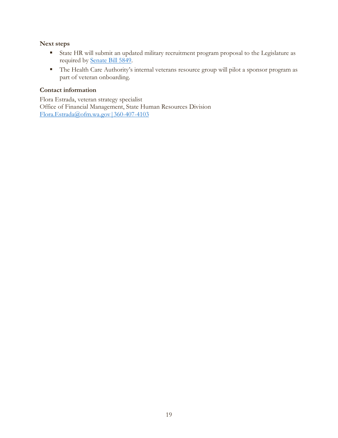#### **Next steps**

- State HR will submit an updated military recruitment program proposal to the Legislature as required by [Senate Bill 5849.](https://app.leg.wa.gov/billsummary?BillNumber=5849&Year=2017)
- The Health Care Authority's internal veterans resource group will pilot a sponsor program as part of veteran onboarding.

#### **Contact information**

Flora Estrada, veteran strategy specialist Office of Financial Management, State Human Resources Division [Flora.Estrada@ofm.wa.gov|360-407-4103](mailto:Flora.Estrada@ofm.wa.gov%7C360-407-4103)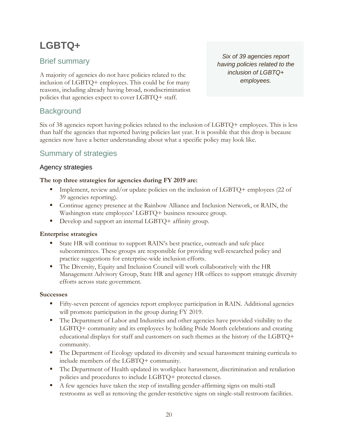# <span id="page-21-0"></span>**LGBTQ+**

### Brief summary

A majority of agencies do not have policies related to the inclusion of LGBTQ+ employees. This could be for many reasons, including already having broad, nondiscrimination policies that agencies expect to cover LGBTQ+ staff.

*Six of 39 agencies report having policies related to the inclusion of LGBTQ+ employees.* 

### **Background**

Six of 38 agencies report having policies related to the inclusion of LGBTQ+ employees. This is less than half the agencies that reported having policies last year. It is possible that this drop is because agencies now have a better understanding about what a specific policy may look like.

### Summary of strategies

#### Agency strategies

#### **The top three strategies for agencies during FY 2019 are:**

- Implement, review and/or update policies on the inclusion of LGBTQ+ employees (22 of 39 agencies reporting).
- Continue agency presence at the Rainbow Alliance and Inclusion Network, or RAIN, the Washington state employees' LGBTQ+ business resource group.
- Develop and support an internal LGBTQ+ affinity group.

#### **Enterprise strategies**

- State HR will continue to support RAIN's best practice, outreach and safe place subcommittees. These groups are responsible for providing well-researched policy and practice suggestions for enterprise-wide inclusion efforts.
- The Diversity, Equity and Inclusion Council will work collaboratively with the HR Management Advisory Group, State HR and agency HR offices to support strategic diversity efforts across state government.

#### **Successes**

- Fifty-seven percent of agencies report employee participation in RAIN. Additional agencies will promote participation in the group during FY 2019.
- The Department of Labor and Industries and other agencies have provided visibility to the LGBTQ+ community and its employees by holding Pride Month celebrations and creating educational displays for staff and customers on such themes as the history of the LGBTQ+ community.
- The Department of Ecology updated its diversity and sexual harassment training curricula to include members of the LGBTQ+ community.
- The Department of Health updated its workplace harassment, discrimination and retaliation policies and procedures to include LGBTQ+ protected classes.
- A few agencies have taken the step of installing gender-affirming signs on multi-stall restrooms as well as removing the gender-restrictive signs on single-stall restroom facilities.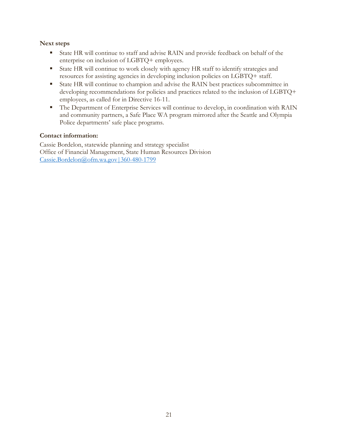#### **Next steps**

- State HR will continue to staff and advise RAIN and provide feedback on behalf of the enterprise on inclusion of LGBTQ+ employees.
- State HR will continue to work closely with agency HR staff to identify strategies and resources for assisting agencies in developing inclusion policies on LGBTQ+ staff.
- State HR will continue to champion and advise the RAIN best practices subcommittee in developing recommendations for policies and practices related to the inclusion of LGBTQ+ employees, as called for in [Directive 16-11.](https://www.governor.wa.gov/sites/default/files/directive/dir_16-11_0.pdf)
- The Department of Enterprise Services will continue to develop, in coordination with RAIN and community partners, a Safe Place WA program mirrored after the Seattle and Olympia Police departments' safe place programs.

#### **Contact information:**

Cassie Bordelon, statewide planning and strategy specialist Office of Financial Management, State Human Resources Division [Cassie.Bordelon@ofm.wa.gov|360-480-1799](mailto:Cassie.Bordelon@ofm.wa.gov%7C360-480-1799)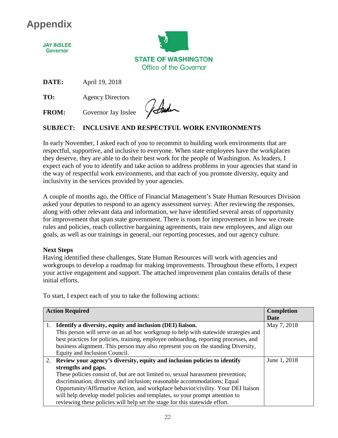# **Appendix**

**JAY INSLEE** Governor



**DATE:** April 19, 2018

**TO:** Agency Directors

**FROM:** Governor Jay Inslee

Johnder

### **SUBJECT: INCLUSIVE AND RESPECTFUL WORK ENVIRONMENTS**

In early November, I asked each of you to recommit to building work environments that are respectful, supportive, and inclusive to everyone. When state employees have the workplaces they deserve, they are able to do their best work for the people of Washington. As leaders, I expect each of you to identify and take action to address problems in your agencies that stand in the way of respectful work environments, and that each of you promote diversity, equity and inclusivity in the services provided by your agencies.

A couple of months ago, the Office of Financial Management's State Human Resources Division asked your deputies to respond to an agency assessment survey. After reviewing the responses, along with other relevant data and information, we have identified several areas of opportunity for improvement that span state government. There is room for improvement in how we create rules and policies, reach collective bargaining agreements, train new employees, and align our goals, as well as our trainings in general, our reporting processes, and our agency culture.

#### **Next Steps**

Having identified these challenges, State Human Resources will work with agencies and workgroups to develop a roadmap for making improvements. Throughout these efforts, I expect your active engagement and support. The attached improvement plan contains details of these initial efforts.

To start, I expect each of you to take the following actions:

|    | <b>Action Required</b>                                                               | Completion   |
|----|--------------------------------------------------------------------------------------|--------------|
|    |                                                                                      | Date         |
| 1. | Identify a diversity, equity and inclusion (DEI) liaison.                            | May 7, 2018  |
|    | This person will serve on an ad hoc workgroup to help with statewide strategies and  |              |
|    | best practices for policies, training, employee onboarding, reporting processes, and |              |
|    | business alignment. This person may also represent you on the standing Diversity,    |              |
|    | Equity and Inclusion Council.                                                        |              |
|    | 2. Review your agency's diversity, equity and inclusion policies to identify         | June 1, 2018 |
|    | strengths and gaps.                                                                  |              |
|    | These policies consist of, but are not limited to, sexual harassment prevention;     |              |
|    | discrimination; diversity and inclusion; reasonable accommodations; Equal            |              |
|    | Opportunity/Affirmative Action, and workplace behavior/civility. Your DEI liaison    |              |
|    | will help develop model policies and templates, so your prompt attention to          |              |
|    | reviewing these policies will help set the stage for this statewide effort.          |              |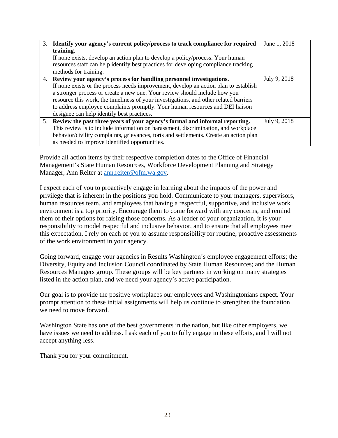| 3. Identify your agency's current policy/process to track compliance for required      | June 1, 2018 |
|----------------------------------------------------------------------------------------|--------------|
| training.                                                                              |              |
| If none exists, develop an action plan to develop a policy/process. Your human         |              |
| resources staff can help identify best practices for developing compliance tracking    |              |
| methods for training.                                                                  |              |
| 4. Review your agency's process for handling personnel investigations.                 | July 9, 2018 |
| If none exists or the process needs improvement, develop an action plan to establish   |              |
| a stronger process or create a new one. Your review should include how you             |              |
| resource this work, the timeliness of your investigations, and other related barriers  |              |
| to address employee complaints promptly. Your human resources and DEI liaison          |              |
| designee can help identify best practices.                                             |              |
| 5. Review the past three years of your agency's formal and informal reporting.         | July 9, 2018 |
| This review is to include information on harassment, discrimination, and workplace     |              |
| behavior/civility complaints, grievances, torts and settlements. Create an action plan |              |
| as needed to improve identified opportunities.                                         |              |

Provide all action items by their respective completion dates to the Office of Financial Management's State Human Resources, Workforce Development Planning and Strategy Manager, Ann Reiter at [ann.reiter@ofm.wa.gov.](mailto:ann.reiter@ofm.wa.gov)

I expect each of you to proactively engage in learning about the impacts of the power and privilege that is inherent in the positions you hold. Communicate to your managers, supervisors, human resources team, and employees that having a respectful, supportive, and inclusive work environment is a top priority. Encourage them to come forward with any concerns, and remind them of their options for raising those concerns. As a leader of your organization, it is your responsibility to model respectful and inclusive behavior, and to ensure that all employees meet this expectation. I rely on each of you to assume responsibility for routine, proactive assessments of the work environment in your agency.

Going forward, engage your agencies in Results Washington's employee engagement efforts; the Diversity, Equity and Inclusion Council coordinated by State Human Resources; and the Human Resources Managers group. These groups will be key partners in working on many strategies listed in the action plan, and we need your agency's active participation.

Our goal is to provide the positive workplaces our employees and Washingtonians expect. Your prompt attention to these initial assignments will help us continue to strengthen the foundation we need to move forward.

Washington State has one of the best governments in the nation, but like other employers, we have issues we need to address. I ask each of you to fully engage in these efforts, and I will not accept anything less.

Thank you for your commitment.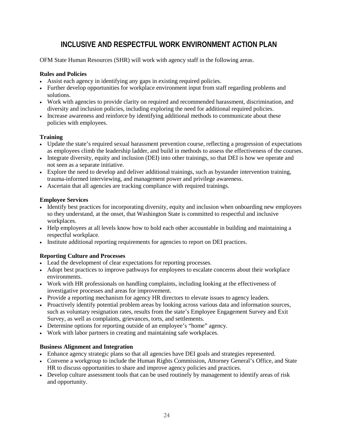### **INCLUSIVE AND RESPECTFUL WORK ENVIRONMENT ACTION PLAN**

OFM State Human Resources (SHR) will work with agency staff in the following areas.

#### **Rules and Policies**

- Assist each agency in identifying any gaps in existing required policies.
- Further develop opportunities for workplace environment input from staff regarding problems and solutions.
- Work with agencies to provide clarity on required and recommended harassment, discrimination, and diversity and inclusion policies, including exploring the need for additional required policies.
- Increase awareness and reinforce by identifying additional methods to communicate about these policies with employees.

#### **Training**

- Update the state's required sexual harassment prevention course, reflecting a progression of expectations as employees climb the leadership ladder, and build in methods to assess the effectiveness of the courses.
- Integrate diversity, equity and inclusion (DEI) into other trainings, so that DEI is how we operate and not seen as a separate initiative.
- Explore the need to develop and deliver additional trainings, such as bystander intervention training, trauma-informed interviewing, and management power and privilege awareness.
- Ascertain that all agencies are tracking compliance with required trainings.

#### **Employee Services**

- Identify best practices for incorporating diversity, equity and inclusion when onboarding new employees so they understand, at the onset, that Washington State is committed to respectful and inclusive workplaces.
- Help employees at all levels know how to hold each other accountable in building and maintaining a respectful workplace.
- Institute additional reporting requirements for agencies to report on DEI practices.

#### **Reporting Culture and Processes**

- Lead the development of clear expectations for reporting processes.
- Adopt best practices to improve pathways for employees to escalate concerns about their workplace environments.
- Work with HR professionals on handling complaints, including looking at the effectiveness of investigative processes and areas for improvement.
- Provide a reporting mechanism for agency HR directors to elevate issues to agency leaders.
- Proactively identify potential problem areas by looking across various data and information sources, such as voluntary resignation rates, results from the state's Employee Engagement Survey and Exit Survey, as well as complaints, grievances, torts, and settlements.
- Determine options for reporting outside of an employee's "home" agency.
- Work with labor partners in creating and maintaining safe workplaces.

#### **Business Alignment and Integration**

- Enhance agency strategic plans so that all agencies have DEI goals and strategies represented.
- Convene a workgroup to include the Human Rights Commission, Attorney General's Office, and State HR to discuss opportunities to share and improve agency policies and practices.
- Develop culture assessment tools that can be used routinely by management to identify areas of risk and opportunity.